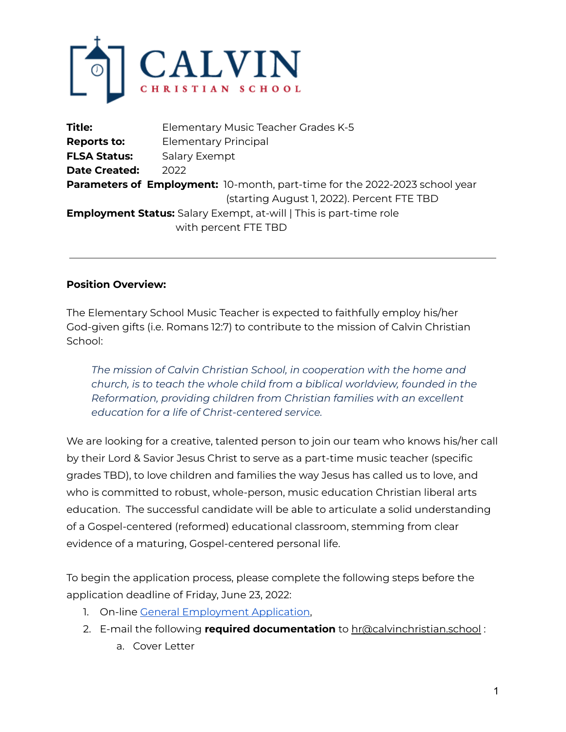

| <b>Title:</b>                                                                      | Elementary Music Teacher Grades K-5        |
|------------------------------------------------------------------------------------|--------------------------------------------|
| <b>Reports to:</b>                                                                 | <b>Elementary Principal</b>                |
| <b>FLSA Status:</b>                                                                | <b>Salary Exempt</b>                       |
| <b>Date Created:</b>                                                               | 2022                                       |
| <b>Parameters of Employment:</b> 10-month, part-time for the 2022-2023 school year |                                            |
|                                                                                    | (starting August 1, 2022). Percent FTE TBD |
| <b>Employment Status:</b> Salary Exempt, at-will   This is part-time role          |                                            |
|                                                                                    | with percent FTE TBD                       |

#### **Position Overview:**

The Elementary School Music Teacher is expected to faithfully employ his/her God-given gifts (i.e. Romans 12:7) to contribute to the mission of Calvin Christian School:

*The mission of Calvin Christian School, in cooperation with the home and church, is to teach the whole child from a biblical worldview, founded in the Reformation, providing children from Christian families with an excellent education for a life of Christ-centered service.*

We are looking for a creative, talented person to join our team who knows his/her call by their Lord & Savior Jesus Christ to serve as a part-time music teacher (specific grades TBD), to love children and families the way Jesus has called us to love, and who is committed to robust, whole-person, music education Christian liberal arts education. The successful candidate will be able to articulate a solid understanding of a Gospel-centered (reformed) educational classroom, stemming from clear evidence of a maturing, Gospel-centered personal life.

To begin the application process, please complete the following steps before the application deadline of Friday, June 23, 2022:

- 1. On-line General [Employment](https://docs.google.com/forms/d/e/1FAIpQLSes3ijSGbG4Pu7O1cACBkXjEuAZqFmHssBX3UMr9h5EuNVreA/viewform?usp=sf_link) Application,
- 2. E-mail the following **required documentation** to hr@calvinchristian.school :
	- a. Cover Letter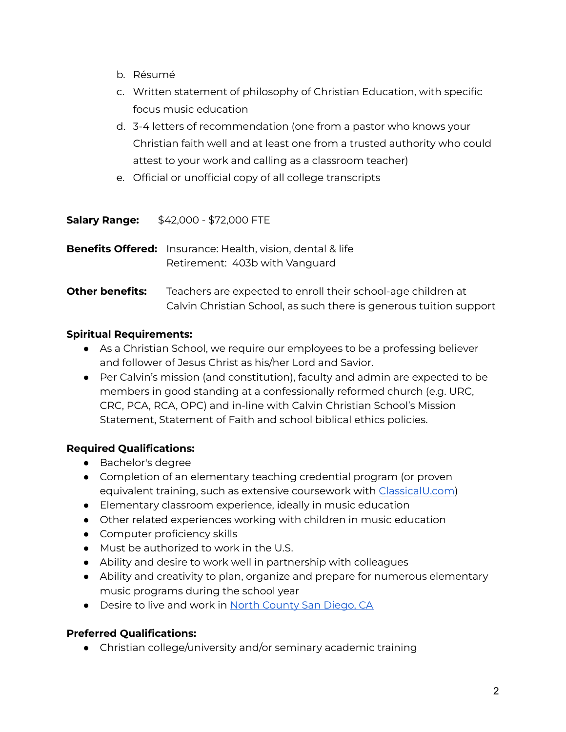- b. Résumé
- c. Written statement of philosophy of Christian Education, with specific focus music education
- d. 3-4 letters of recommendation (one from a pastor who knows your Christian faith well and at least one from a trusted authority who could attest to your work and calling as a classroom teacher)
- e. Official or unofficial copy of all college transcripts

**Salary Range:** \$42,000 - \$72,000 FTE

**Benefits Offered:** Insurance: Health, vision, dental & life Retirement: 403b with Vanguard

# **Other benefits:** Teachers are expected to enroll their school-age children at Calvin Christian School, as such there is generous tuition support

# **Spiritual Requirements:**

- As a Christian School, we require our employees to be a professing believer and follower of Jesus Christ as his/her Lord and Savior.
- Per Calvin's mission (and constitution), faculty and admin are expected to be members in good standing at a confessionally reformed church (e.g. URC, CRC, PCA, RCA, OPC) and in-line with Calvin Christian School's Mission Statement, Statement of Faith and school biblical ethics policies.

# **Required Qualifications:**

- Bachelor's degree
- Completion of an elementary teaching credential program (or proven equivalent training, such as extensive coursework with [ClassicalU.com](https://classicalu.com/))
- Elementary classroom experience, ideally in music education
- Other related experiences working with children in music education
- Computer proficiency skills
- Must be authorized to work in the U.S.
- Ability and desire to work well in partnership with colleagues
- Ability and creativity to plan, organize and prepare for numerous elementary music programs during the school year
- Desire to live and work in North [County](https://www.sandiego.org/explore/coastal/north-county-coastal.aspx) San Diego, CA

# **Preferred Qualifications:**

● Christian college/university and/or seminary academic training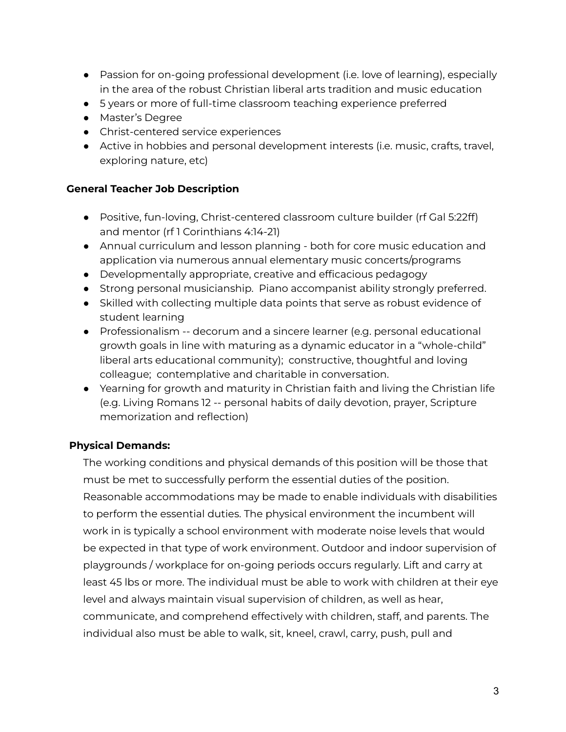- Passion for on-going professional development (i.e. love of learning), especially in the area of the robust Christian liberal arts tradition and music education
- 5 years or more of full-time classroom teaching experience preferred
- Master's Degree
- Christ-centered service experiences
- Active in hobbies and personal development interests (i.e. music, crafts, travel, exploring nature, etc)

#### **General Teacher Job Description**

- Positive, fun-loving, Christ-centered classroom culture builder (rf Gal 5:22ff) and mentor (rf 1 Corinthians 4:14-21)
- Annual curriculum and lesson planning both for core music education and application via numerous annual elementary music concerts/programs
- Developmentally appropriate, creative and efficacious pedagogy
- Strong personal musicianship. Piano accompanist ability strongly preferred.
- Skilled with collecting multiple data points that serve as robust evidence of student learning
- Professionalism -- decorum and a sincere learner (e.g. personal educational growth goals in line with maturing as a dynamic educator in a "whole-child" liberal arts educational community); constructive, thoughtful and loving colleague; contemplative and charitable in conversation.
- Yearning for growth and maturity in Christian faith and living the Christian life (e.g. Living Romans 12 -- personal habits of daily devotion, prayer, Scripture memorization and reflection)

# **Physical Demands:**

The working conditions and physical demands of this position will be those that must be met to successfully perform the essential duties of the position. Reasonable accommodations may be made to enable individuals with disabilities to perform the essential duties. The physical environment the incumbent will work in is typically a school environment with moderate noise levels that would be expected in that type of work environment. Outdoor and indoor supervision of playgrounds / workplace for on-going periods occurs regularly. Lift and carry at least 45 lbs or more. The individual must be able to work with children at their eye level and always maintain visual supervision of children, as well as hear, communicate, and comprehend effectively with children, staff, and parents. The individual also must be able to walk, sit, kneel, crawl, carry, push, pull and